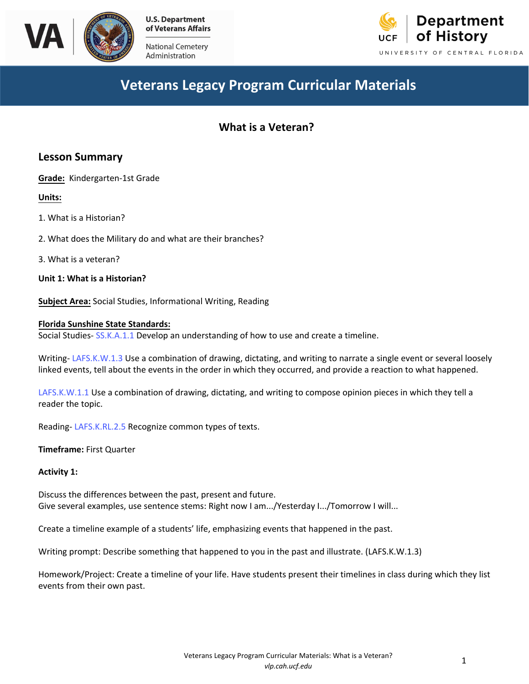

Ad ministration



# **Veterans Legacy Program Curricular Materials**

## **What is a Veteran?**

## **Lesson Summary**

**Grade:** Kindergarten-1st Grade

**Units:**

1. What is a Historian?

2. What does the Military do and what are their branches?

3. What is a veteran?

**Unit 1: What is a Historian?**

**Subject Area:** Social Studies, Informational Writing, Reading

#### **Florida Sunshine State Standards:**

Social Studies- [SS.K.A.1.1](http://www.cpalms.org/Public/PreviewStandard/Preview/2877) Develop an understanding of how to use and create a timeline.

Writing- [LAFS.K.W.1.3](http://www.cpalms.org/Public/PreviewStandard/Preview/5804) Use a combination of drawing, dictating, and writing to narrate a single event or several loosely linked events, tell about the events in the order in which they occurred, and provide a reaction to what happened.

[LAFS.K.W.1.1](http://www.cpalms.org/Public/PreviewStandard/Preview/5802) Use a combination of drawing, dictating, and writing to compose opinion pieces in which they tell a reader the topic.

Reading- [LAFS.K.RL.2.5](http://www.cpalms.org/Public/PreviewStandard/Preview/5676) Recognize common types of texts.

**Timeframe:** First Quarter

#### **Activity 1:**

Discuss the differences between the past, present and future. Give several examples, use sentence stems: Right now I am.../Yesterday I.../Tomorrow I will...

Create a timeline example of a students' life, emphasizing events that happened in the past.

Writing prompt: Describe something that happened to you in the past and illustrate. (LAFS.K.W.1.3)

Homework/Project: Create a timeline of your life. Have students present their timelines in class during which they list events from their own past.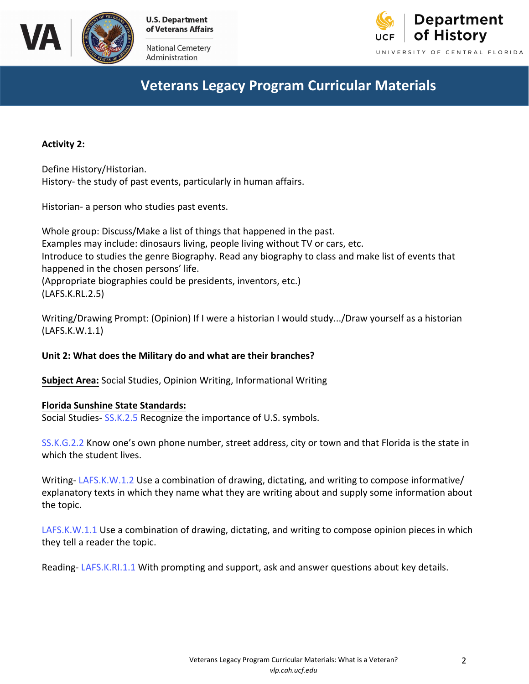

National Cemetery Administration



# **Veterans Legacy Program Curricular Materials**

**Activity 2:**

Define History/Historian. History- the study of past events, particularly in human affairs.

Historian- a person who studies past events.

Whole group: Discuss/Make a list of things that happened in the past. Examples may include: dinosaurs living, people living without TV or cars, etc. Introduce to studies the genre Biography. Read any biography to class and make list of events that happened in the chosen persons' life. (Appropriate biographies could be presidents, inventors, etc.) (LAFS.K.RL.2.5)

Writing/Drawing Prompt: (Opinion) If I were a historian I would study.../Draw yourself as a historian (LAFS.K.W.1.1)

## **Unit 2: What does the Military do and what are their branches?**

**Subject Area:** Social Studies, Opinion Writing, Informational Writing

## **Florida Sunshine State Standards:**

Social Studies- [SS.K.2.5](http://www.cpalms.org/Public/PreviewStandard/Preview/5676) Recognize the importance of U.S. symbols.

[SS.K.G.2.2](http://www.cpalms.org/Public/PreviewStandard/Preview/2891) Know one's own phone number, street address, city or town and that Florida is the state in which the student lives.

Writing- [LAFS.K.W.1.2](http://www.cpalms.org/Public/PreviewStandard/Preview/5803) Use a combination of drawing, dictating, and writing to compose informative/ explanatory texts in which they name what they are writing about and supply some information about the topic.

<LAFS.K.W.1.1> Use a combination of drawing, dictating, and writing to compose opinion pieces in which they tell a reader the topic.

Reading- [LAFS.K.RI.1.1](http://www.cpalms.org/Public/PreviewStandard/Preview/5726) With prompting and support, ask and answer questions about key details.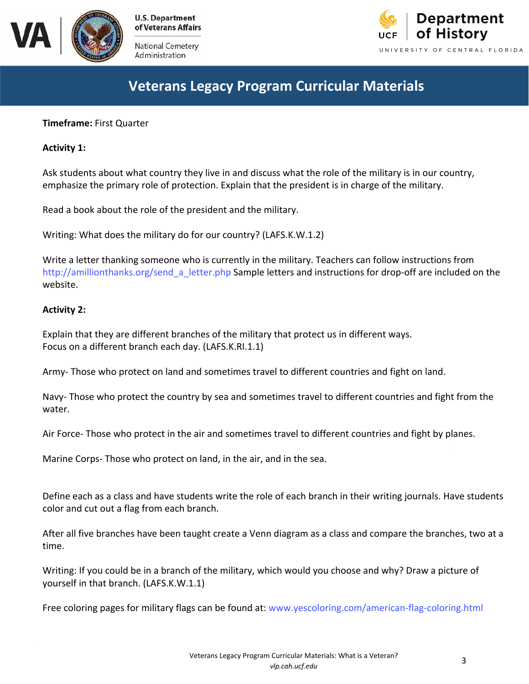



Administration



# **Veterans Legacy Program Curricular Materials**

## **Timeframe:** First Quarter

## **Activity 1:**

Ask students about what country they live in and discuss what the role of the military is in our country, emphasize the primary role of protection. Explain that the president is in charge of the military.

Read a book about the role of the president and the military.

Writing: What does the military do for our country? (LAFS.K.W.1.2)

Write a letter thanking someone who is currently in the military. Teachers can follow instructions from [http://amillionthanks.org/send\\_a\\_letter.php S](ttp://ghsbears.pbworks.com/f/Cheques.pdf)ample letters and instructions for drop-off are included on the website.

### **Activity 2:**

Explain that they are different branches of the military that protect us in different ways. Focus on a different branch each day. (LAFS.K.RI.1.1)

Army- Those who protect on land and sometimes travel to different countries and fight on land.

Navy- Those who protect the country by sea and sometimes travel to different countries and fight from the water.

Air Force- Those who protect in the air and sometimes travel to different countries and fight by planes.

Marine Corps- Those who protect on land, in the air, and in the sea.

Define each as a class and have students write the role of each branch in their writing journals. Have students color and cut out a flag from each branch.

After all five branches have been taught create a Venn diagram as a class and compare the branches, two at a time.

Writing: If you could be in a branch of the military, which would you choose and why? Draw a picture of yourself in that branch. (LAFS.K.W.1.1)

Free coloring pages for military flags can be found at: [www.yescoloring.com/american-flag-coloring.htm](www.yescoloring.com/american-flag-coloring.html)l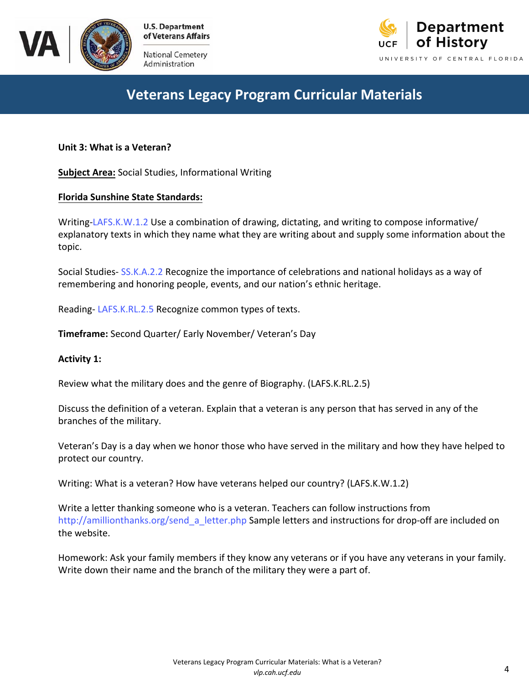

National Cemetery Administration



# **Veterans Legacy Program Curricular Materials**

**Unit 3: What is a Veteran?**

**Subject Area:** Social Studies, Informational Writing

## **Florida Sunshine State Standards:**

Writing-[LAFS.K.W.1.2](http://www.cpalms.org/Public/PreviewStandard/Preview/5803) Use a combination of drawing, dictating, and writing to compose informative/ explanatory texts in which they name what they are writing about and supply some information about the topic.

Social Studies- [SS.K.A.2.2](http://www.cpalms.org/Public/PreviewStandard/Preview/2880) Recognize the importance of celebrations and national holidays as a way of remembering and honoring people, events, and our nation's ethnic heritage.

Reading- [LAFS.K.RL.2.5](http://www.cpalms.org/Public/PreviewStandard/Preview/5676) Recognize common types of texts.

**Timeframe:** Second Quarter/ Early November/ Veteran's Day

## **Activity 1:**

Review what the military does and the genre of Biography. (LAFS.K.RL.2.5)

Discuss the definition of a veteran. Explain that a veteran is any person that has served in any of the branches of the military.

Veteran's Day is a day when we honor those who have served in the military and how they have helped to protect our country.

Writing: What is a veteran? How have veterans helped our country? (LAFS.K.W.1.2)

Write a letter thanking someone who is a veteran. Teachers can follow instructions from [http://amillionthanks.org/send\\_a\\_letter.php](http://amillionthanks.org/send_a_letter.php) Sample letters and instructions for drop-off are included on the website.

Homework: Ask your family members if they know any veterans or if you have any veterans in your family. Write down their name and the branch of the military they were a part of.